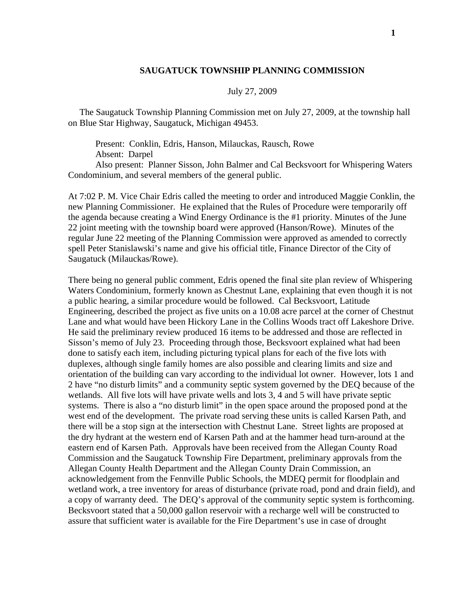## **SAUGATUCK TOWNSHIP PLANNING COMMISSION**

## July 27, 2009

 The Saugatuck Township Planning Commission met on July 27, 2009, at the township hall on Blue Star Highway, Saugatuck, Michigan 49453.

 Present: Conklin, Edris, Hanson, Milauckas, Rausch, Rowe Absent: Darpel

 Also present: Planner Sisson, John Balmer and Cal Becksvoort for Whispering Waters Condominium, and several members of the general public.

At 7:02 P. M. Vice Chair Edris called the meeting to order and introduced Maggie Conklin, the new Planning Commissioner. He explained that the Rules of Procedure were temporarily off the agenda because creating a Wind Energy Ordinance is the #1 priority. Minutes of the June 22 joint meeting with the township board were approved (Hanson/Rowe). Minutes of the regular June 22 meeting of the Planning Commission were approved as amended to correctly spell Peter Stanislawski's name and give his official title, Finance Director of the City of Saugatuck (Milauckas/Rowe).

There being no general public comment, Edris opened the final site plan review of Whispering Waters Condominium, formerly known as Chestnut Lane, explaining that even though it is not a public hearing, a similar procedure would be followed. Cal Becksvoort, Latitude Engineering, described the project as five units on a 10.08 acre parcel at the corner of Chestnut Lane and what would have been Hickory Lane in the Collins Woods tract off Lakeshore Drive. He said the preliminary review produced 16 items to be addressed and those are reflected in Sisson's memo of July 23. Proceeding through those, Becksvoort explained what had been done to satisfy each item, including picturing typical plans for each of the five lots with duplexes, although single family homes are also possible and clearing limits and size and orientation of the building can vary according to the individual lot owner. However, lots 1 and 2 have "no disturb limits" and a community septic system governed by the DEQ because of the wetlands. All five lots will have private wells and lots 3, 4 and 5 will have private septic systems. There is also a "no disturb limit" in the open space around the proposed pond at the west end of the development. The private road serving these units is called Karsen Path, and there will be a stop sign at the intersection with Chestnut Lane. Street lights are proposed at the dry hydrant at the western end of Karsen Path and at the hammer head turn-around at the eastern end of Karsen Path. Approvals have been received from the Allegan County Road Commission and the Saugatuck Township Fire Department, preliminary approvals from the Allegan County Health Department and the Allegan County Drain Commission, an acknowledgement from the Fennville Public Schools, the MDEQ permit for floodplain and wetland work, a tree inventory for areas of disturbance (private road, pond and drain field), and a copy of warranty deed. The DEQ's approval of the community septic system is forthcoming. Becksvoort stated that a 50,000 gallon reservoir with a recharge well will be constructed to assure that sufficient water is available for the Fire Department's use in case of drought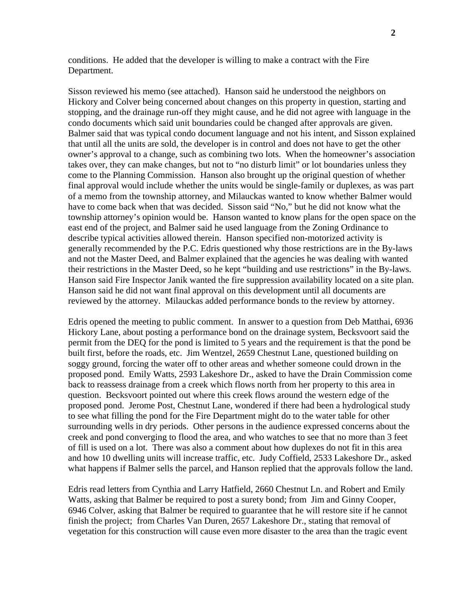conditions. He added that the developer is willing to make a contract with the Fire Department.

Sisson reviewed his memo (see attached). Hanson said he understood the neighbors on Hickory and Colver being concerned about changes on this property in question, starting and stopping, and the drainage run-off they might cause, and he did not agree with language in the condo documents which said unit boundaries could be changed after approvals are given. Balmer said that was typical condo document language and not his intent, and Sisson explained that until all the units are sold, the developer is in control and does not have to get the other owner's approval to a change, such as combining two lots. When the homeowner's association takes over, they can make changes, but not to "no disturb limit" or lot boundaries unless they come to the Planning Commission. Hanson also brought up the original question of whether final approval would include whether the units would be single-family or duplexes, as was part of a memo from the township attorney, and Milauckas wanted to know whether Balmer would have to come back when that was decided. Sisson said "No," but he did not know what the township attorney's opinion would be. Hanson wanted to know plans for the open space on the east end of the project, and Balmer said he used language from the Zoning Ordinance to describe typical activities allowed therein. Hanson specified non-motorized activity is generally recommended by the P.C. Edris questioned why those restrictions are in the By-laws and not the Master Deed, and Balmer explained that the agencies he was dealing with wanted their restrictions in the Master Deed, so he kept "building and use restrictions" in the By-laws. Hanson said Fire Inspector Janik wanted the fire suppression availability located on a site plan. Hanson said he did not want final approval on this development until all documents are reviewed by the attorney. Milauckas added performance bonds to the review by attorney.

Edris opened the meeting to public comment. In answer to a question from Deb Matthai, 6936 Hickory Lane, about posting a performance bond on the drainage system, Becksvoort said the permit from the DEQ for the pond is limited to 5 years and the requirement is that the pond be built first, before the roads, etc. Jim Wentzel, 2659 Chestnut Lane, questioned building on soggy ground, forcing the water off to other areas and whether someone could drown in the proposed pond. Emily Watts, 2593 Lakeshore Dr., asked to have the Drain Commission come back to reassess drainage from a creek which flows north from her property to this area in question. Becksvoort pointed out where this creek flows around the western edge of the proposed pond. Jerome Post, Chestnut Lane, wondered if there had been a hydrological study to see what filling the pond for the Fire Department might do to the water table for other surrounding wells in dry periods. Other persons in the audience expressed concerns about the creek and pond converging to flood the area, and who watches to see that no more than 3 feet of fill is used on a lot. There was also a comment about how duplexes do not fit in this area and how 10 dwelling units will increase traffic, etc. Judy Coffield, 2533 Lakeshore Dr., asked what happens if Balmer sells the parcel, and Hanson replied that the approvals follow the land.

Edris read letters from Cynthia and Larry Hatfield, 2660 Chestnut Ln. and Robert and Emily Watts, asking that Balmer be required to post a surety bond; from Jim and Ginny Cooper, 6946 Colver, asking that Balmer be required to guarantee that he will restore site if he cannot finish the project; from Charles Van Duren, 2657 Lakeshore Dr., stating that removal of vegetation for this construction will cause even more disaster to the area than the tragic event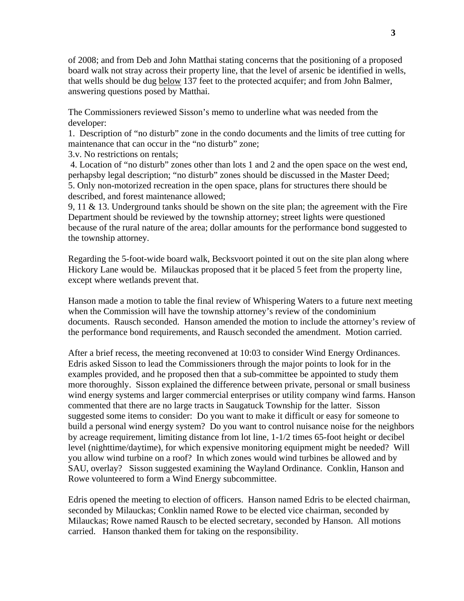of 2008; and from Deb and John Matthai stating concerns that the positioning of a proposed board walk not stray across their property line, that the level of arsenic be identified in wells, that wells should be dug below 137 feet to the protected acquifer; and from John Balmer, answering questions posed by Matthai.

The Commissioners reviewed Sisson's memo to underline what was needed from the developer:

1. Description of "no disturb" zone in the condo documents and the limits of tree cutting for maintenance that can occur in the "no disturb" zone;

3.v. No restrictions on rentals;

 4. Location of "no disturb" zones other than lots 1 and 2 and the open space on the west end, perhapsby legal description; "no disturb" zones should be discussed in the Master Deed; 5. Only non-motorized recreation in the open space, plans for structures there should be described, and forest maintenance allowed;

9, 11  $\&$  13. Underground tanks should be shown on the site plan; the agreement with the Fire Department should be reviewed by the township attorney; street lights were questioned because of the rural nature of the area; dollar amounts for the performance bond suggested to the township attorney.

Regarding the 5-foot-wide board walk, Becksvoort pointed it out on the site plan along where Hickory Lane would be. Milauckas proposed that it be placed 5 feet from the property line, except where wetlands prevent that.

Hanson made a motion to table the final review of Whispering Waters to a future next meeting when the Commission will have the township attorney's review of the condominium documents. Rausch seconded. Hanson amended the motion to include the attorney's review of the performance bond requirements, and Rausch seconded the amendment. Motion carried.

After a brief recess, the meeting reconvened at 10:03 to consider Wind Energy Ordinances. Edris asked Sisson to lead the Commissioners through the major points to look for in the examples provided, and he proposed then that a sub-committee be appointed to study them more thoroughly. Sisson explained the difference between private, personal or small business wind energy systems and larger commercial enterprises or utility company wind farms. Hanson commented that there are no large tracts in Saugatuck Township for the latter. Sisson suggested some items to consider: Do you want to make it difficult or easy for someone to build a personal wind energy system? Do you want to control nuisance noise for the neighbors by acreage requirement, limiting distance from lot line, 1-1/2 times 65-foot height or decibel level (nighttime/daytime), for which expensive monitoring equipment might be needed? Will you allow wind turbine on a roof? In which zones would wind turbines be allowed and by SAU, overlay? Sisson suggested examining the Wayland Ordinance. Conklin, Hanson and Rowe volunteered to form a Wind Energy subcommittee.

Edris opened the meeting to election of officers. Hanson named Edris to be elected chairman, seconded by Milauckas; Conklin named Rowe to be elected vice chairman, seconded by Milauckas; Rowe named Rausch to be elected secretary, seconded by Hanson. All motions carried. Hanson thanked them for taking on the responsibility.